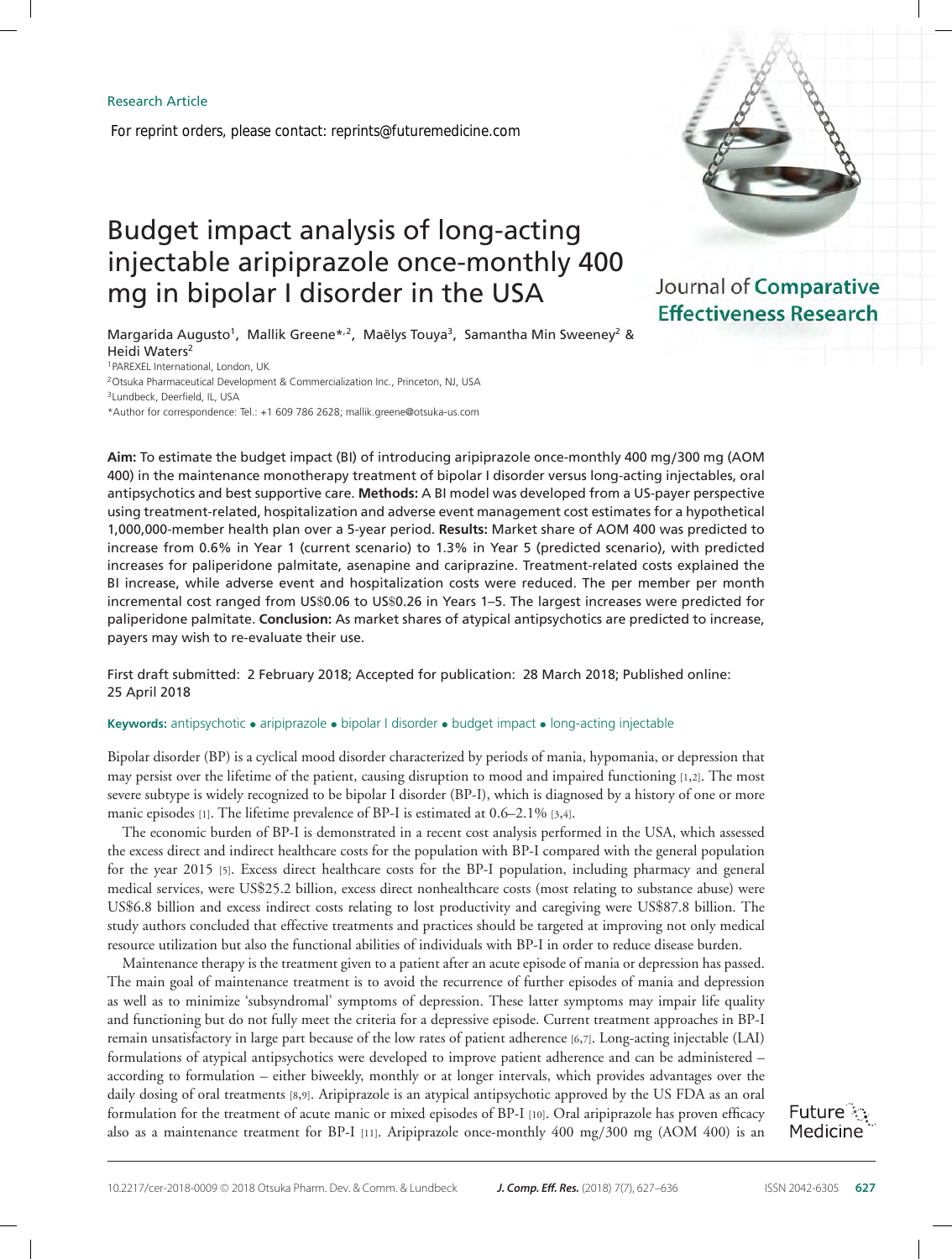*For reprint orders, please contact: reprints@futuremedicine.com*

# Budget impact analysis of long-acting injectable aripiprazole once-monthly 400 mg in bipolar I disorder in the USA

Margarida Augusto<sup>1</sup>, Mallik Greene\*<sup>,2</sup>, Maëlys Touya<sup>3</sup>, Samantha Min Sweeney<sup>2</sup> & Heidi Waters<sup>2</sup>

1PAREXEL International, London, UK

2Otsuka Pharmaceutical Development & Commercialization Inc., Princeton, NJ, USA

3Lundbeck, Deerfield, IL, USA

\*Author for correspondence: Tel.: +1 609 786 2628; mallik.greene@otsuka-us.com

**Aim:** To estimate the budget impact (BI) of introducing aripiprazole once-monthly 400 mg**/**300 mg (AOM 400) in the maintenance monotherapy treatment of bipolar I disorder versus long-acting injectables, oral antipsychotics and best supportive care. **Methods:** A BI model was developed from a US-payer perspective using treatment-related, hospitalization and adverse event management cost estimates for a hypothetical 1,000,000-member health plan over a 5-year period. **Results:** Market share of AOM 400 was predicted to increase from 0.6% in Year 1 (current scenario) to 1.3% in Year 5 (predicted scenario), with predicted increases for paliperidone palmitate, asenapine and cariprazine. Treatment-related costs explained the BI increase, while adverse event and hospitalization costs were reduced. The per member per month incremental cost ranged from US\$0.06 to US\$0.26 in Years 1–5. The largest increases were predicted for paliperidone palmitate. **Conclusion:** As market shares of atypical antipsychotics are predicted to increase, payers may wish to re-evaluate their use.

First draft submitted: 2 February 2018; Accepted for publication: 28 March 2018; Published online: 25 April 2018

## **Keywords:** antipsychotic • aripiprazole • bipolar I disorder • budget impact • long-acting injectable

Bipolar disorder (BP) is a cyclical mood disorder characterized by periods of mania, hypomania, or depression that may persist over the lifetime of the patient, causing disruption to mood and impaired functioning [1,2]. The most severe subtype is widely recognized to be bipolar I disorder (BP-I), which is diagnosed by a history of one or more manic episodes [1]. The lifetime prevalence of BP-I is estimated at 0.6–2.1% [3,4].

The economic burden of BP-I is demonstrated in a recent cost analysis performed in the USA, which assessed the excess direct and indirect healthcare costs for the population with BP-I compared with the general population for the year 2015 [5]. Excess direct healthcare costs for the BP-I population, including pharmacy and general medical services, were US\$25.2 billion, excess direct nonhealthcare costs (most relating to substance abuse) were US\$6.8 billion and excess indirect costs relating to lost productivity and caregiving were US\$87.8 billion. The study authors concluded that effective treatments and practices should be targeted at improving not only medical resource utilization but also the functional abilities of individuals with BP-I in order to reduce disease burden.

Maintenance therapy is the treatment given to a patient after an acute episode of mania or depression has passed. The main goal of maintenance treatment is to avoid the recurrence of further episodes of mania and depression as well as to minimize 'subsyndromal' symptoms of depression. These latter symptoms may impair life quality and functioning but do not fully meet the criteria for a depressive episode. Current treatment approaches in BP-I remain unsatisfactory in large part because of the low rates of patient adherence [6,7]. Long-acting injectable (LAI) formulations of atypical antipsychotics were developed to improve patient adherence and can be administered – according to formulation – either biweekly, monthly or at longer intervals, which provides advantages over the daily dosing of oral treatments [8,9]. Aripiprazole is an atypical antipsychotic approved by the US FDA as an oral formulation for the treatment of acute manic or mixed episodes of BP-I [10]. Oral aripiprazole has proven efficacy also as a maintenance treatment for BP-I [11]. Aripiprazole once-monthly 400 mg/300 mg (AOM 400) is an



## Journal of Comparative **Effectiveness Research**

Future ः Medicine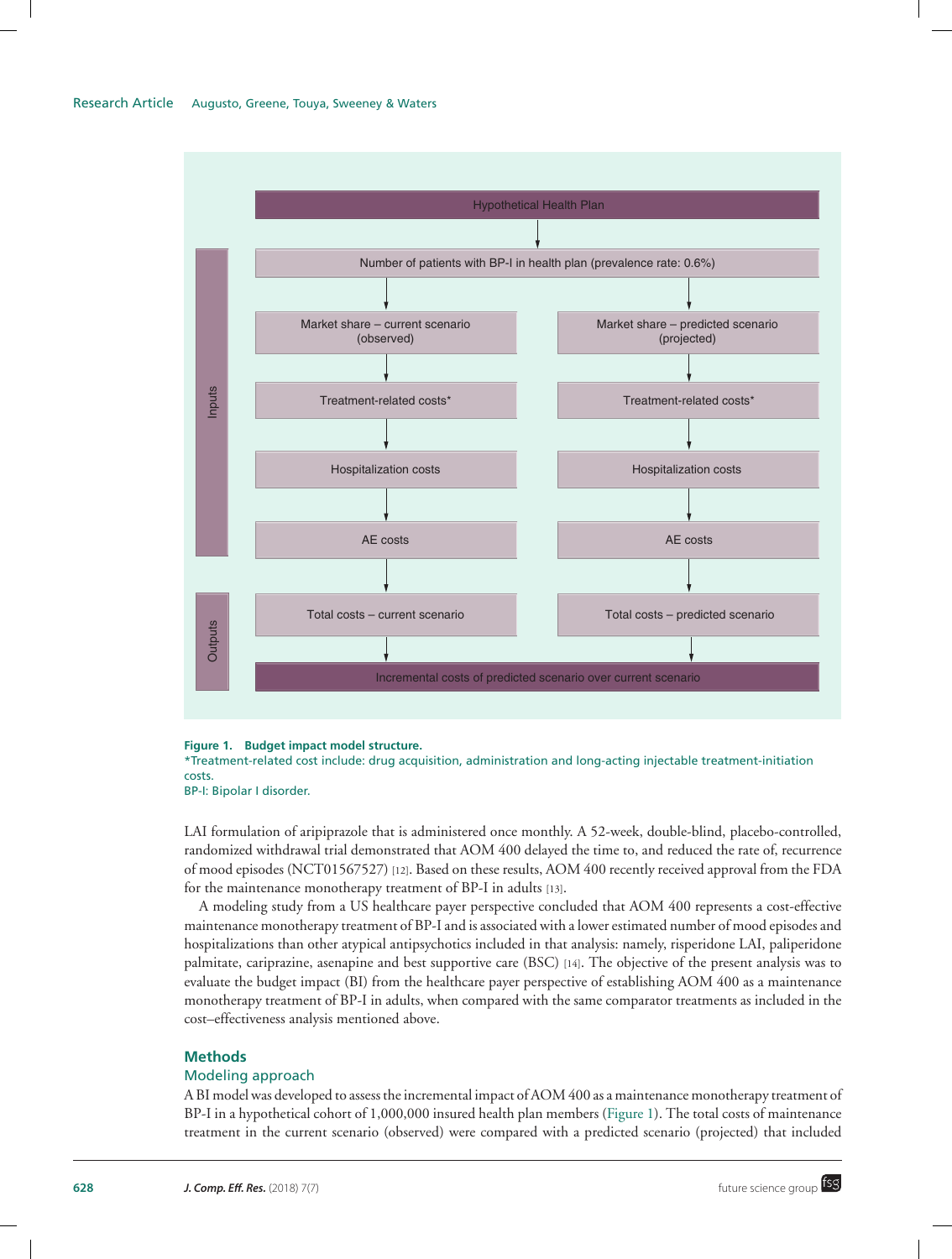

#### **Figure 1. Budget impact model structure.**

\*Treatment-related cost include: drug acquisition, administration and long-acting injectable treatment-initiation costs.

BP-I: Bipolar I disorder.

LAI formulation of aripiprazole that is administered once monthly. A 52-week, double-blind, placebo-controlled, randomized withdrawal trial demonstrated that AOM 400 delayed the time to, and reduced the rate of, recurrence of mood episodes (NCT01567527) [12]. Based on these results, AOM 400 recently received approval from the FDA for the maintenance monotherapy treatment of BP-I in adults [13].

A modeling study from a US healthcare payer perspective concluded that AOM 400 represents a cost-effective maintenance monotherapy treatment of BP-I and is associated with a lower estimated number of mood episodes and hospitalizations than other atypical antipsychotics included in that analysis: namely, risperidone LAI, paliperidone palmitate, cariprazine, asenapine and best supportive care (BSC) [14]. The objective of the present analysis was to evaluate the budget impact (BI) from the healthcare payer perspective of establishing AOM 400 as a maintenance monotherapy treatment of BP-I in adults, when compared with the same comparator treatments as included in the cost–effectiveness analysis mentioned above.

#### **Methods**

#### Modeling approach

A BI model was developed to assess the incremental impact of AOM 400 as a maintenance monotherapy treatment of BP-I in a hypothetical cohort of 1,000,000 insured health plan members (Figure 1). The total costs of maintenance treatment in the current scenario (observed) were compared with a predicted scenario (projected) that included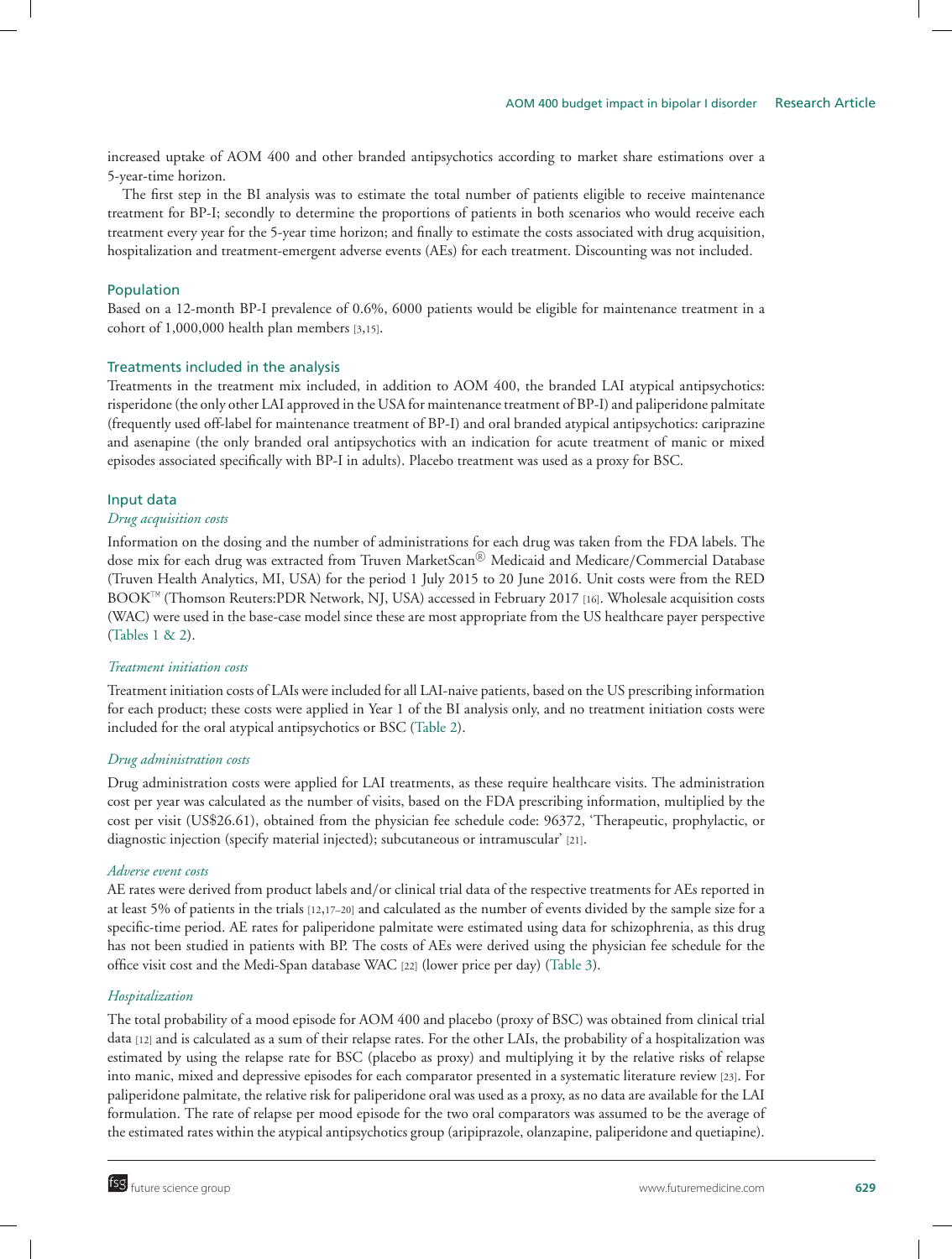increased uptake of AOM 400 and other branded antipsychotics according to market share estimations over a 5-year-time horizon.

The first step in the BI analysis was to estimate the total number of patients eligible to receive maintenance treatment for BP-I; secondly to determine the proportions of patients in both scenarios who would receive each treatment every year for the 5-year time horizon; and finally to estimate the costs associated with drug acquisition, hospitalization and treatment-emergent adverse events (AEs) for each treatment. Discounting was not included.

## Population

Based on a 12-month BP-I prevalence of 0.6%, 6000 patients would be eligible for maintenance treatment in a cohort of 1,000,000 health plan members [3,15].

## Treatments included in the analysis

Treatments in the treatment mix included, in addition to AOM 400, the branded LAI atypical antipsychotics: risperidone (the only other LAI approved in the USA for maintenance treatment of BP-I) and paliperidone palmitate (frequently used off-label for maintenance treatment of BP-I) and oral branded atypical antipsychotics: cariprazine and asenapine (the only branded oral antipsychotics with an indication for acute treatment of manic or mixed episodes associated specifically with BP-I in adults). Placebo treatment was used as a proxy for BSC.

### Input data

### *Drug acquisition costs*

Information on the dosing and the number of administrations for each drug was taken from the FDA labels. The dose mix for each drug was extracted from Truven MarketScan $^{\textrm{\textregistered}}$  Medicaid and Medicare/Commercial Database (Truven Health Analytics, MI, USA) for the period 1 July 2015 to 20 June 2016. Unit costs were from the RED BOOK™ (Thomson Reuters:PDR Network, NJ, USA) accessed in February 2017 [16]. Wholesale acquisition costs (WAC) were used in the base-case model since these are most appropriate from the US healthcare payer perspective (Tables 1 & 2).

## *Treatment initiation costs*

Treatment initiation costs of LAIs were included for all LAI-naive patients, based on the US prescribing information for each product; these costs were applied in Year 1 of the BI analysis only, and no treatment initiation costs were included for the oral atypical antipsychotics or BSC (Table 2).

## *Drug administration costs*

Drug administration costs were applied for LAI treatments, as these require healthcare visits. The administration cost per year was calculated as the number of visits, based on the FDA prescribing information, multiplied by the cost per visit (US\$26.61), obtained from the physician fee schedule code: 96372, 'Therapeutic, prophylactic, or diagnostic injection (specify material injected); subcutaneous or intramuscular' [21].

## *Adverse event costs*

AE rates were derived from product labels and/or clinical trial data of the respective treatments for AEs reported in at least 5% of patients in the trials [12,17–20] and calculated as the number of events divided by the sample size for a specific-time period. AE rates for paliperidone palmitate were estimated using data for schizophrenia, as this drug has not been studied in patients with BP. The costs of AEs were derived using the physician fee schedule for the office visit cost and the Medi-Span database WAC [22] (lower price per day) (Table 3).

## *Hospitalization*

The total probability of a mood episode for AOM 400 and placebo (proxy of BSC) was obtained from clinical trial data [12] and is calculated as a sum of their relapse rates. For the other LAIs, the probability of a hospitalization was estimated by using the relapse rate for BSC (placebo as proxy) and multiplying it by the relative risks of relapse into manic, mixed and depressive episodes for each comparator presented in a systematic literature review [23]. For paliperidone palmitate, the relative risk for paliperidone oral was used as a proxy, as no data are available for the LAI formulation. The rate of relapse per mood episode for the two oral comparators was assumed to be the average of the estimated rates within the atypical antipsychotics group (aripiprazole, olanzapine, paliperidone and quetiapine).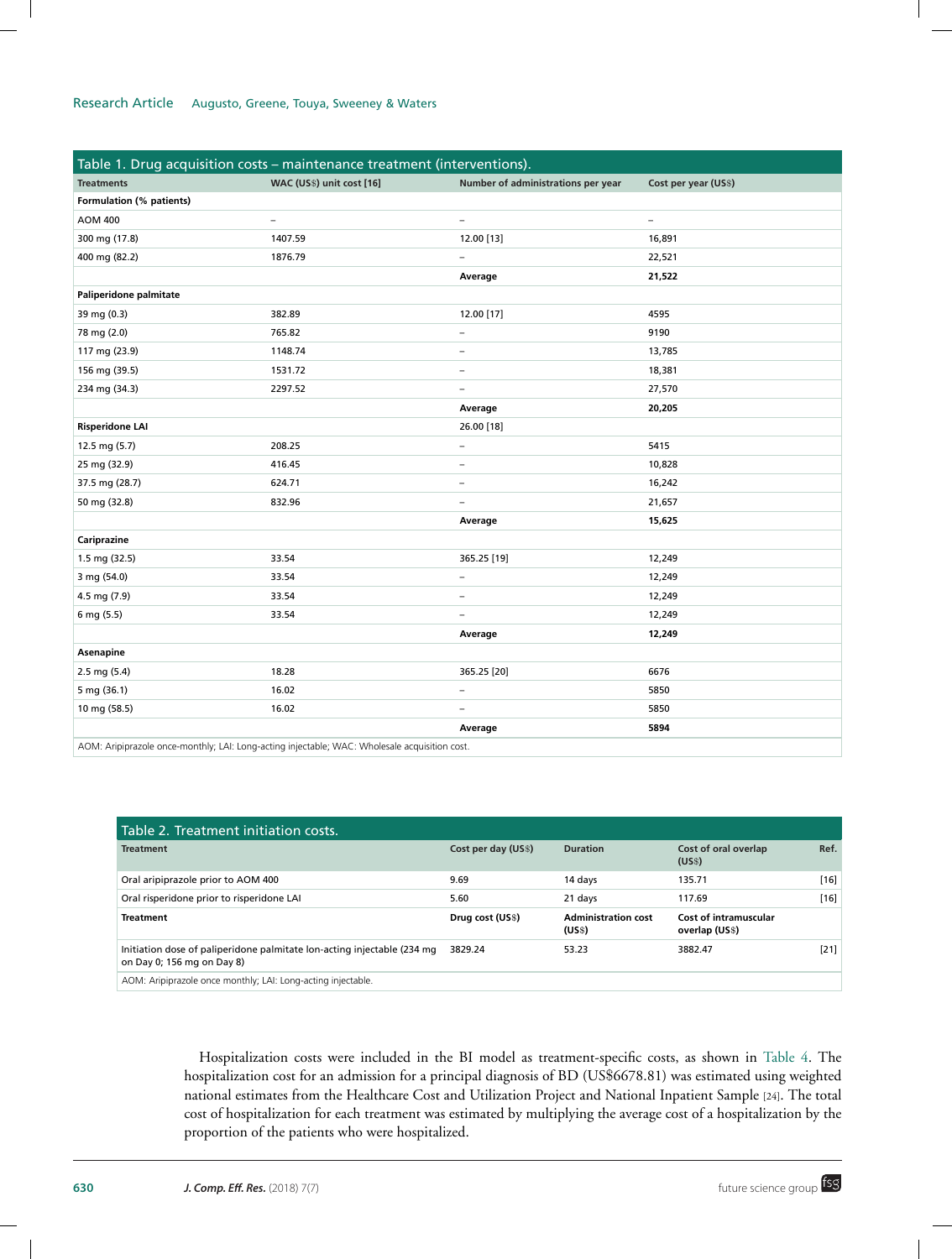## Research Article Augusto, Greene, Touya, Sweeney & Waters

| Table 1. Drug acquisition costs - maintenance treatment (interventions).                     |                           |                                    |                      |  |  |  |
|----------------------------------------------------------------------------------------------|---------------------------|------------------------------------|----------------------|--|--|--|
| <b>Treatments</b>                                                                            | WAC (US\$) unit cost [16] | Number of administrations per year | Cost per year (US\$) |  |  |  |
| Formulation (% patients)                                                                     |                           |                                    |                      |  |  |  |
| <b>AOM 400</b>                                                                               | -                         | $\qquad \qquad -$                  | $\qquad \qquad -$    |  |  |  |
| 300 mg (17.8)                                                                                | 1407.59                   | 12.00 [13]                         | 16,891               |  |  |  |
| 400 mg (82.2)                                                                                | 1876.79                   | $\overline{\phantom{0}}$           | 22,521               |  |  |  |
|                                                                                              |                           | Average                            | 21,522               |  |  |  |
| Paliperidone palmitate                                                                       |                           |                                    |                      |  |  |  |
| 39 mg (0.3)                                                                                  | 382.89                    | 12.00 [17]                         | 4595                 |  |  |  |
| 78 mg (2.0)                                                                                  | 765.82                    | $\qquad \qquad -$                  | 9190                 |  |  |  |
| 117 mg (23.9)                                                                                | 1148.74                   | -                                  | 13,785               |  |  |  |
| 156 mg (39.5)                                                                                | 1531.72                   | $\overline{\phantom{0}}$           | 18,381               |  |  |  |
| 234 mg (34.3)                                                                                | 2297.52                   | $\overline{\phantom{0}}$           | 27,570               |  |  |  |
|                                                                                              |                           | Average                            | 20,205               |  |  |  |
| <b>Risperidone LAI</b>                                                                       |                           | 26.00 [18]                         |                      |  |  |  |
| 12.5 mg (5.7)                                                                                | 208.25                    | -                                  | 5415                 |  |  |  |
| 25 mg (32.9)                                                                                 | 416.45                    | -                                  | 10,828               |  |  |  |
| 37.5 mg (28.7)                                                                               | 624.71                    | -                                  | 16,242               |  |  |  |
| 50 mg (32.8)                                                                                 | 832.96                    | $\overline{a}$                     | 21,657               |  |  |  |
|                                                                                              |                           | Average                            | 15,625               |  |  |  |
| Cariprazine                                                                                  |                           |                                    |                      |  |  |  |
| 1.5 mg (32.5)                                                                                | 33.54                     | 365.25 [19]                        | 12,249               |  |  |  |
| 3 mg (54.0)                                                                                  | 33.54                     | $\overline{\phantom{a}}$           | 12,249               |  |  |  |
| 4.5 mg (7.9)                                                                                 | 33.54                     | $\overline{a}$                     | 12,249               |  |  |  |
| 6 mg (5.5)                                                                                   | 33.54                     | $\qquad \qquad -$                  | 12,249               |  |  |  |
|                                                                                              |                           | Average                            | 12,249               |  |  |  |
| Asenapine                                                                                    |                           |                                    |                      |  |  |  |
| 2.5 mg (5.4)                                                                                 | 18.28                     | 365.25 [20]                        | 6676                 |  |  |  |
| 5 mg (36.1)                                                                                  | 16.02                     | $\overline{a}$                     | 5850                 |  |  |  |
| 10 mg (58.5)                                                                                 | 16.02                     | $\qquad \qquad -$                  | 5850                 |  |  |  |
|                                                                                              |                           | Average                            | 5894                 |  |  |  |
| AOM: Aripiprazole once-monthly: LAI: Long-acting injectable: WAC: Wholesale acquisition cost |                           |                                    |                      |  |  |  |

AOM: Aripiprazole once-monthly; LAI: Long-acting injectable; WAC: Wholesale acquisition cost.

| Table 2. Treatment initiation costs.                                                                  |                     |                                     |                                            |        |
|-------------------------------------------------------------------------------------------------------|---------------------|-------------------------------------|--------------------------------------------|--------|
| <b>Treatment</b>                                                                                      | Cost per day (US\$) | <b>Duration</b>                     | Cost of oral overlap<br>(US <sub>3</sub> ) | Ref.   |
| Oral aripiprazole prior to AOM 400                                                                    | 9.69                | 14 days                             | 135.71                                     | $[16]$ |
| Oral risperidone prior to risperidone LAI                                                             | 5.60                | 21 days                             | 117.69                                     | [16]   |
| <b>Treatment</b>                                                                                      | Drug cost (US\$)    | <b>Administration cost</b><br>(USS) | Cost of intramuscular<br>overlap (US\$)    |        |
| Initiation dose of paliperidone palmitate lon-acting injectable (234 mg<br>on Day 0; 156 mg on Day 8) | 3829.24             | 53.23                               | 3882.47                                    | $[21]$ |
| .                                                                                                     |                     |                                     |                                            |        |

AOM: Aripiprazole once monthly; LAI: Long-acting injectable.

Hospitalization costs were included in the BI model as treatment-specific costs, as shown in Table 4. The hospitalization cost for an admission for a principal diagnosis of BD (US\$6678.81) was estimated using weighted national estimates from the Healthcare Cost and Utilization Project and National Inpatient Sample [24]. The total cost of hospitalization for each treatment was estimated by multiplying the average cost of a hospitalization by the proportion of the patients who were hospitalized.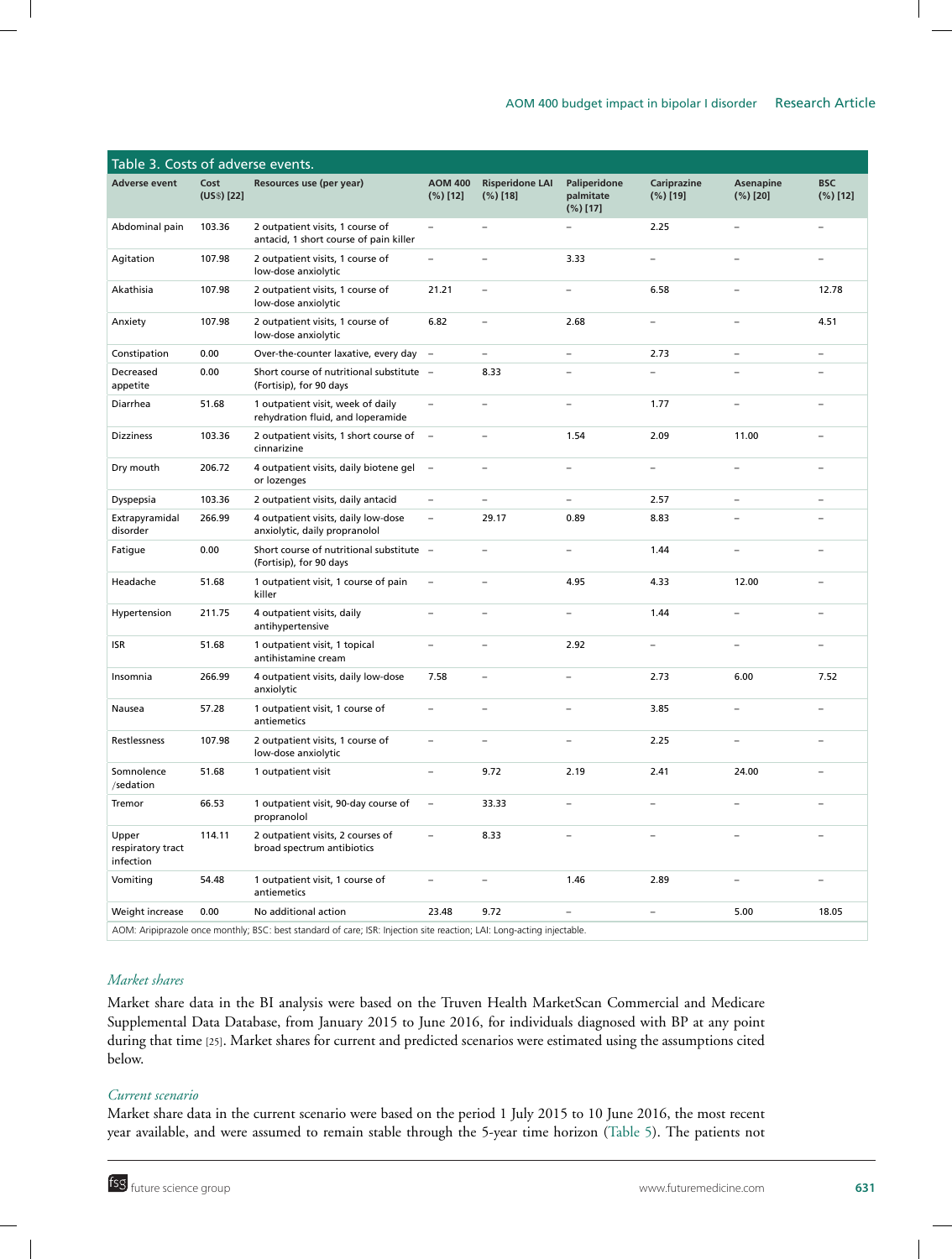| Table 3. Costs of adverse events.       |                     |                                                                            |                              |                                       |                                          |                           |                                |                           |
|-----------------------------------------|---------------------|----------------------------------------------------------------------------|------------------------------|---------------------------------------|------------------------------------------|---------------------------|--------------------------------|---------------------------|
| <b>Adverse event</b>                    | Cost<br>(US\$) [22] | Resources use (per year)                                                   | <b>AOM 400</b><br>$(\%)[12]$ | <b>Risperidone LAI</b><br>$(\%)$ [18] | Paliperidone<br>palmitate<br>$(\%)$ [17] | Cariprazine<br>$(\%)[19]$ | <b>Asenapine</b><br>$(\%)[20]$ | <b>BSC</b><br>$(\%)$ [12] |
| Abdominal pain                          | 103.36              | 2 outpatient visits, 1 course of<br>antacid, 1 short course of pain killer | $\overline{a}$               | $\overline{a}$                        | $\overline{a}$                           | 2.25                      | $\overline{\phantom{a}}$       | -                         |
| Agitation                               | 107.98              | 2 outpatient visits, 1 course of<br>low-dose anxiolytic                    | $\equiv$                     | $\overline{a}$                        | 3.33                                     | $\overline{a}$            | $\overline{\phantom{a}}$       | $\overline{a}$            |
| Akathisia                               | 107.98              | 2 outpatient visits, 1 course of<br>low-dose anxiolytic                    | 21.21                        | $\overline{a}$                        | $\overline{a}$                           | 6.58                      | $\overline{a}$                 | 12.78                     |
| Anxiety                                 | 107.98              | 2 outpatient visits, 1 course of<br>low-dose anxiolytic                    | 6.82                         | $\overline{a}$                        | 2.68                                     | $\overline{a}$            | $\overline{\phantom{a}}$       | 4.51                      |
| Constipation                            | 0.00                | Over-the-counter laxative, every day                                       | $\overline{\phantom{a}}$     | $\overline{\phantom{0}}$              | $\overline{\phantom{0}}$                 | 2.73                      | $\qquad \qquad -$              | $\overline{\phantom{0}}$  |
| Decreased<br>appetite                   | 0.00                | Short course of nutritional substitute -<br>(Fortisip), for 90 days        |                              | 8.33                                  | $\overline{a}$                           | $\overline{a}$            |                                |                           |
| Diarrhea                                | 51.68               | 1 outpatient visit, week of daily<br>rehydration fluid, and loperamide     | $\overline{a}$               | $\overline{a}$                        | $\overline{a}$                           | 1.77                      |                                |                           |
| <b>Dizziness</b>                        | 103.36              | 2 outpatient visits, 1 short course of -<br>cinnarizine                    |                              | $\overline{a}$                        | 1.54                                     | 2.09                      | 11.00                          |                           |
| Dry mouth                               | 206.72              | 4 outpatient visits, daily biotene gel -<br>or lozenges                    |                              | $\overline{a}$                        | $\equiv$                                 | $\equiv$                  | $\overline{\phantom{a}}$       | $\overline{\phantom{0}}$  |
| Dyspepsia                               | 103.36              | 2 outpatient visits, daily antacid                                         | $\overline{\phantom{0}}$     | $\overline{\phantom{0}}$              | $\equiv$                                 | 2.57                      | $\overline{\phantom{0}}$       | $\overline{a}$            |
| Extrapyramidal<br>disorder              | 266.99              | 4 outpatient visits, daily low-dose<br>anxiolytic, daily propranolol       | $\overline{a}$               | 29.17                                 | 0.89                                     | 8.83                      |                                |                           |
| Fatigue                                 | 0.00                | Short course of nutritional substitute -<br>(Fortisip), for 90 days        |                              | $\overline{a}$                        | $\equiv$                                 | 1.44                      |                                |                           |
| Headache                                | 51.68               | 1 outpatient visit, 1 course of pain<br>killer                             | $\overline{\phantom{a}}$     | $\overline{\phantom{0}}$              | 4.95                                     | 4.33                      | 12.00                          |                           |
| Hypertension                            | 211.75              | 4 outpatient visits, daily<br>antihypertensive                             |                              | $\overline{a}$                        | $\qquad \qquad -$                        | 1.44                      |                                |                           |
| ISR                                     | 51.68               | 1 outpatient visit, 1 topical<br>antihistamine cream                       | $\overline{a}$               | $\overline{a}$                        | 2.92                                     | $\overline{a}$            |                                |                           |
| Insomnia                                | 266.99              | 4 outpatient visits, daily low-dose<br>anxiolytic                          | 7.58                         | $\overline{a}$                        | $\overline{a}$                           | 2.73                      | 6.00                           | 7.52                      |
| Nausea                                  | 57.28               | 1 outpatient visit, 1 course of<br>antiemetics                             | $\overline{a}$               | $\overline{a}$                        | $\equiv$                                 | 3.85                      | $\equiv$                       | $\overline{a}$            |
| Restlessness                            | 107.98              | 2 outpatient visits, 1 course of<br>low-dose anxiolytic                    | $\overline{a}$               | $\overline{a}$                        | $\overline{a}$                           | 2.25                      | $\overline{\phantom{0}}$       | $\overline{a}$            |
| Somnolence<br>/sedation                 | 51.68               | 1 outpatient visit                                                         | $\overline{a}$               | 9.72                                  | 2.19                                     | 2.41                      | 24.00                          |                           |
| Tremor                                  | 66.53               | 1 outpatient visit, 90-day course of<br>propranolol                        | $\overline{\phantom{a}}$     | 33.33                                 | $\overline{a}$                           | $\overline{a}$            |                                |                           |
| Upper<br>respiratory tract<br>infection | 114.11              | 2 outpatient visits, 2 courses of<br>broad spectrum antibiotics            |                              | 8.33                                  | $\overline{a}$                           | $\overline{\phantom{a}}$  | $\overline{\phantom{0}}$       |                           |
| Vomiting                                | 54.48               | 1 outpatient visit, 1 course of<br>antiemetics                             |                              | $\overline{a}$                        | 1.46                                     | 2.89                      |                                |                           |
| Weight increase                         | 0.00                | No additional action                                                       | 23.48                        | 9.72                                  | $\overline{a}$                           | $\qquad \qquad -$         | 5.00                           | 18.05                     |
|                                         |                     | <b>Brand</b> 1                                                             |                              |                                       |                                          |                           |                                |                           |

AOM: Aripiprazole once monthly; BSC: best standard of care; ISR: Injection site reaction; LAI: Long-acting injectable.

## *Market shares*

Market share data in the BI analysis were based on the Truven Health MarketScan Commercial and Medicare Supplemental Data Database, from January 2015 to June 2016, for individuals diagnosed with BP at any point during that time [25]. Market shares for current and predicted scenarios were estimated using the assumptions cited below.

## *Current scenario*

Market share data in the current scenario were based on the period 1 July 2015 to 10 June 2016, the most recent year available, and were assumed to remain stable through the 5-year time horizon (Table 5). The patients not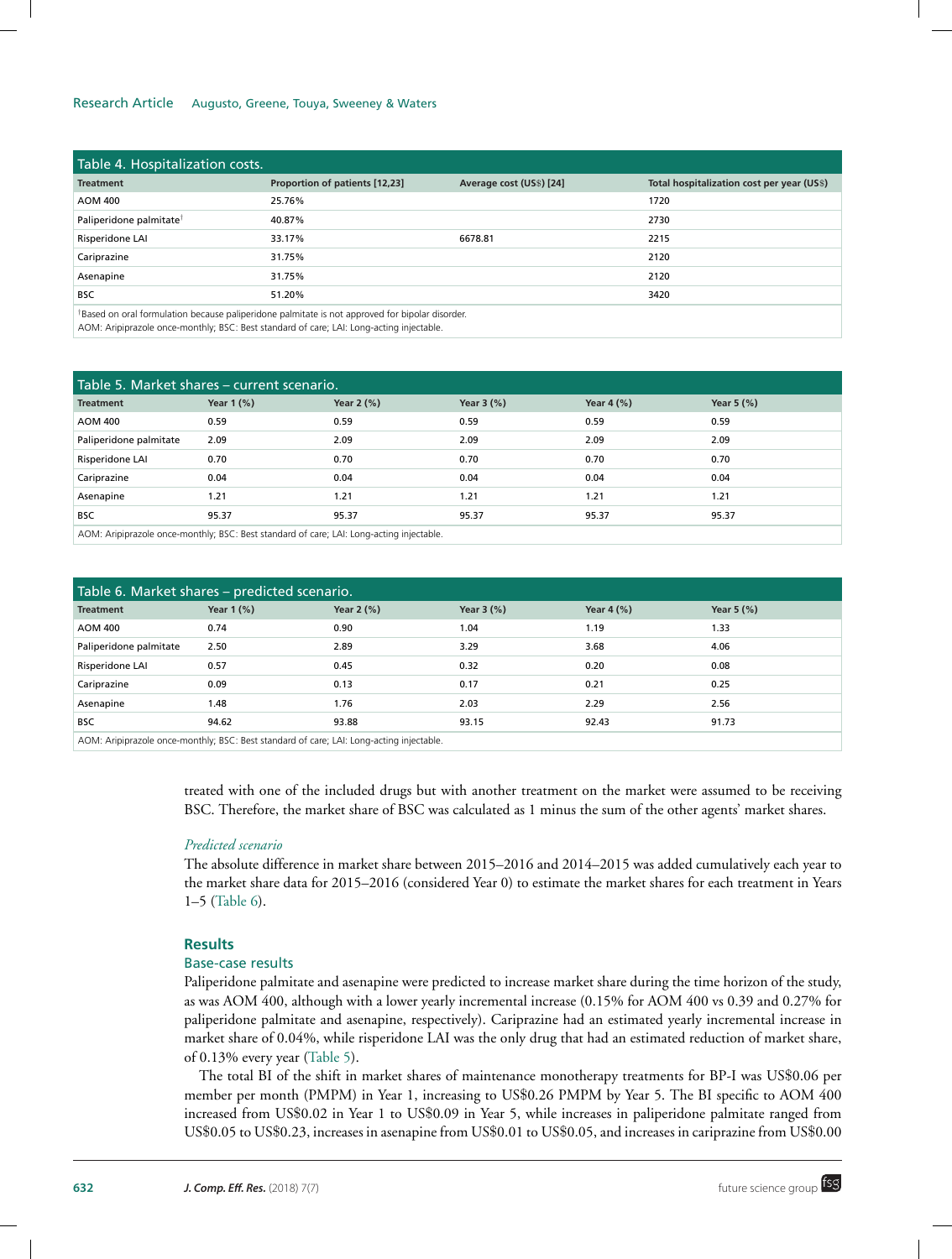### Research Article Augusto, Greene, Touya, Sweeney & Waters

| Table 4. Hospitalization costs.                                                                 |                                |                          |                                            |  |  |  |  |
|-------------------------------------------------------------------------------------------------|--------------------------------|--------------------------|--------------------------------------------|--|--|--|--|
| <b>Treatment</b>                                                                                | Proportion of patients [12,23] | Average cost (US\$) [24] | Total hospitalization cost per year (US\$) |  |  |  |  |
| <b>AOM 400</b>                                                                                  | 25.76%                         |                          | 1720                                       |  |  |  |  |
| Paliperidone palmitate <sup>†</sup>                                                             | 40.87%                         |                          | 2730                                       |  |  |  |  |
| Risperidone LAI                                                                                 | 33.17%                         | 6678.81                  | 2215                                       |  |  |  |  |
| Cariprazine                                                                                     | 31.75%                         |                          | 2120                                       |  |  |  |  |
| Asenapine                                                                                       | 31.75%                         |                          | 2120                                       |  |  |  |  |
| <b>BSC</b>                                                                                      | 51.20%                         |                          | 3420                                       |  |  |  |  |
| *Based on oral formulation because paliperidone palmitate is not approved for bipolar disorder. |                                |                          |                                            |  |  |  |  |

AOM: Aripiprazole once-monthly; BSC: Best standard of care; LAI: Long-acting injectable.

| Table 5. Market shares – current scenario.                                              |            |              |              |              |            |  |
|-----------------------------------------------------------------------------------------|------------|--------------|--------------|--------------|------------|--|
| <b>Treatment</b>                                                                        | Year 1 (%) | Year $2$ (%) | Year $3$ (%) | Year 4 $(%)$ | Year 5 (%) |  |
| <b>AOM 400</b>                                                                          | 0.59       | 0.59         | 0.59         | 0.59         | 0.59       |  |
| Paliperidone palmitate                                                                  | 2.09       | 2.09         | 2.09         | 2.09         | 2.09       |  |
| Risperidone LAI                                                                         | 0.70       | 0.70         | 0.70         | 0.70         | 0.70       |  |
| Cariprazine                                                                             | 0.04       | 0.04         | 0.04         | 0.04         | 0.04       |  |
| Asenapine                                                                               | 1.21       | 1.21         | 1.21         | 1.21         | 1.21       |  |
| <b>BSC</b>                                                                              | 95.37      | 95.37        | 95.37        | 95.37        | 95.37      |  |
| AOM: Ariginsepple once monthly: BCC: Best standard of case: LAI: Long active injectable |            |              |              |              |            |  |

AOM: Aripiprazole once-monthly; BSC: Best standard of care; LAI: Long-acting injectable.

| Table 6. Market shares – predicted scenario.                                            |                 |              |              |               |              |  |
|-----------------------------------------------------------------------------------------|-----------------|--------------|--------------|---------------|--------------|--|
| <b>Treatment</b>                                                                        | Year $1$ $\%$ ) | Year $2$ (%) | Year $3$ (%) | Year 4 $(\%)$ | Year $5$ (%) |  |
| AOM 400                                                                                 | 0.74            | 0.90         | 1.04         | 1.19          | 1.33         |  |
| Paliperidone palmitate                                                                  | 2.50            | 2.89         | 3.29         | 3.68          | 4.06         |  |
| Risperidone LAI                                                                         | 0.57            | 0.45         | 0.32         | 0.20          | 0.08         |  |
| Cariprazine                                                                             | 0.09            | 0.13         | 0.17         | 0.21          | 0.25         |  |
| Asenapine                                                                               | 1.48            | 1.76         | 2.03         | 2.29          | 2.56         |  |
| <b>BSC</b>                                                                              | 94.62           | 93.88        | 93.15        | 92.43         | 91.73        |  |
| AOM: Ariniprazolo onco monthly: RSC: Rest standard of care: LAI: Long-acting injectable |                 |              |              |               |              |  |

AOM: Aripiprazole once-monthly; BSC: Best standard of care; LAI: Long-acting injectable.

treated with one of the included drugs but with another treatment on the market were assumed to be receiving BSC. Therefore, the market share of BSC was calculated as 1 minus the sum of the other agents' market shares.

## *Predicted scenario*

The absolute difference in market share between 2015–2016 and 2014–2015 was added cumulatively each year to the market share data for 2015–2016 (considered Year 0) to estimate the market shares for each treatment in Years 1–5 (Table 6).

## **Results**

#### Base-case results

Paliperidone palmitate and asenapine were predicted to increase market share during the time horizon of the study, as was AOM 400, although with a lower yearly incremental increase (0.15% for AOM 400 vs 0.39 and 0.27% for paliperidone palmitate and asenapine, respectively). Cariprazine had an estimated yearly incremental increase in market share of 0.04%, while risperidone LAI was the only drug that had an estimated reduction of market share, of 0.13% every year (Table 5).

The total BI of the shift in market shares of maintenance monotherapy treatments for BP-I was US\$0.06 per member per month (PMPM) in Year 1, increasing to US\$0.26 PMPM by Year 5. The BI specific to AOM 400 increased from US\$0.02 in Year 1 to US\$0.09 in Year 5, while increases in paliperidone palmitate ranged from US\$0.05 to US\$0.23, increases in asenapine from US\$0.01 to US\$0.05, and increases in cariprazine from US\$0.00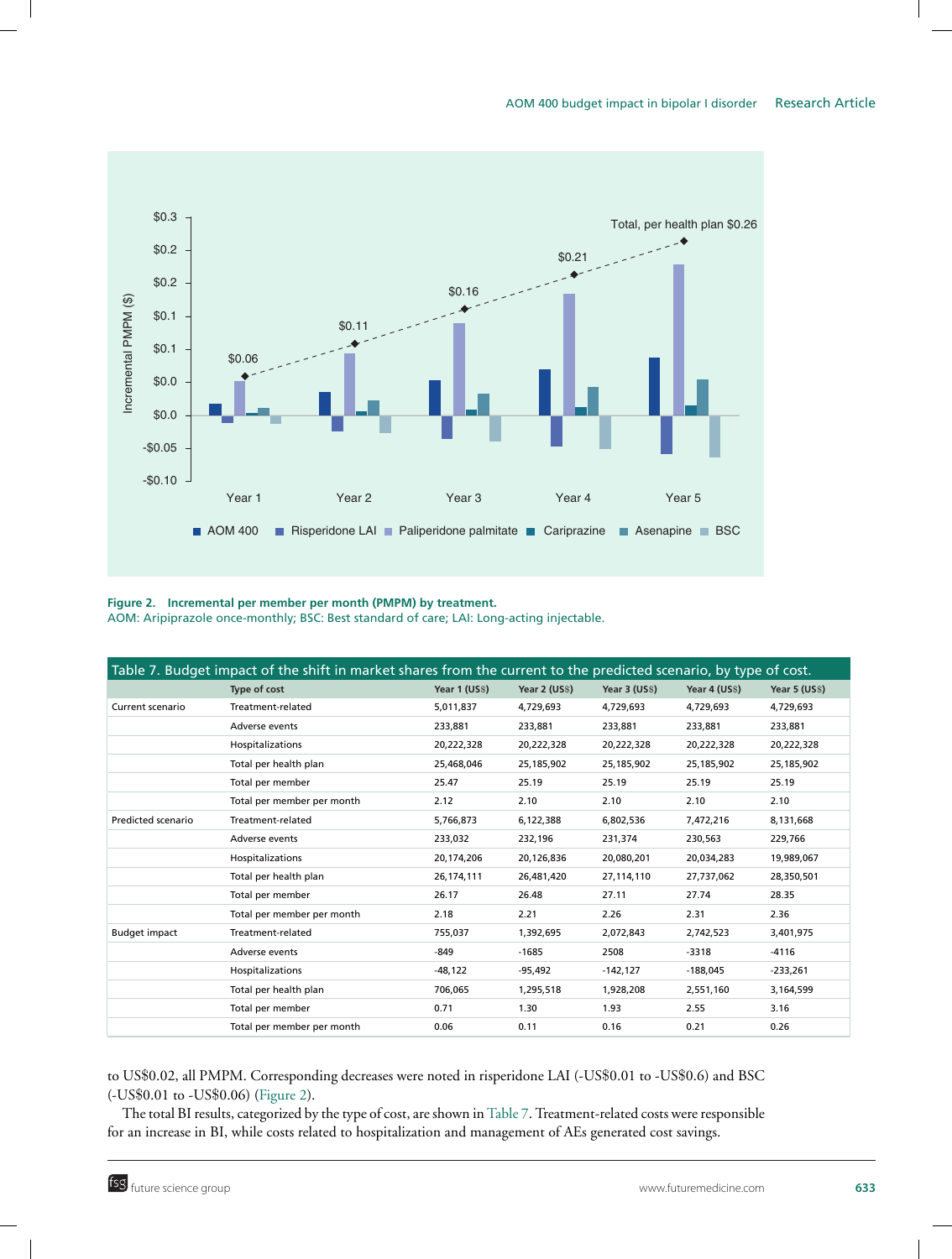

## **Figure 2. Incremental per member per month (PMPM) by treatment.**

AOM: Aripiprazole once-monthly; BSC: Best standard of care; LAI: Long-acting injectable.

|                      | Table 7. Budget impact of the shift in market shares from the current to the predicted scenario, by type of cost. |               |               |               |               |               |
|----------------------|-------------------------------------------------------------------------------------------------------------------|---------------|---------------|---------------|---------------|---------------|
|                      | Type of cost                                                                                                      | Year 1 (US\$) | Year 2 (US\$) | Year 3 (US\$) | Year 4 (US\$) | Year 5 (US\$) |
| Current scenario     | Treatment-related                                                                                                 | 5,011,837     | 4,729,693     | 4,729,693     | 4,729,693     | 4,729,693     |
|                      | Adverse events                                                                                                    | 233,881       | 233,881       | 233,881       | 233,881       | 233,881       |
|                      | Hospitalizations                                                                                                  | 20,222,328    | 20,222,328    | 20,222,328    | 20,222,328    | 20,222,328    |
|                      | Total per health plan                                                                                             | 25,468,046    | 25,185,902    | 25,185,902    | 25,185,902    | 25,185,902    |
|                      | Total per member                                                                                                  | 25.47         | 25.19         | 25.19         | 25.19         | 25.19         |
|                      | Total per member per month                                                                                        | 2.12          | 2.10          | 2.10          | 2.10          | 2.10          |
| Predicted scenario   | Treatment-related                                                                                                 | 5,766,873     | 6,122,388     | 6,802,536     | 7,472,216     | 8,131,668     |
|                      | Adverse events                                                                                                    | 233,032       | 232,196       | 231,374       | 230,563       | 229,766       |
|                      | Hospitalizations                                                                                                  | 20,174,206    | 20,126,836    | 20,080,201    | 20,034,283    | 19,989,067    |
|                      | Total per health plan                                                                                             | 26, 174, 111  | 26,481,420    | 27,114,110    | 27,737,062    | 28,350,501    |
|                      | Total per member                                                                                                  | 26.17         | 26.48         | 27.11         | 27.74         | 28.35         |
|                      | Total per member per month                                                                                        | 2.18          | 2.21          | 2.26          | 2.31          | 2.36          |
| <b>Budget impact</b> | Treatment-related                                                                                                 | 755,037       | 1,392,695     | 2,072,843     | 2,742,523     | 3,401,975     |
|                      | Adverse events                                                                                                    | $-849$        | $-1685$       | 2508          | $-3318$       | $-4116$       |
|                      | Hospitalizations                                                                                                  | $-48,122$     | $-95,492$     | $-142, 127$   | $-188,045$    | $-233,261$    |
|                      | Total per health plan                                                                                             | 706,065       | 1,295,518     | 1,928,208     | 2,551,160     | 3,164,599     |
|                      | Total per member                                                                                                  | 0.71          | 1.30          | 1.93          | 2.55          | 3.16          |
|                      | Total per member per month                                                                                        | 0.06          | 0.11          | 0.16          | 0.21          | 0.26          |

to US\$0.02, all PMPM. Corresponding decreases were noted in risperidone LAI (-US\$0.01 to -US\$0.6) and BSC (-US\$0.01 to -US\$0.06) (Figure 2).

The total BI results, categorized by the type of cost, are shown in Table 7. Treatment-related costs were responsible for an increase in BI, while costs related to hospitalization and management of AEs generated cost savings.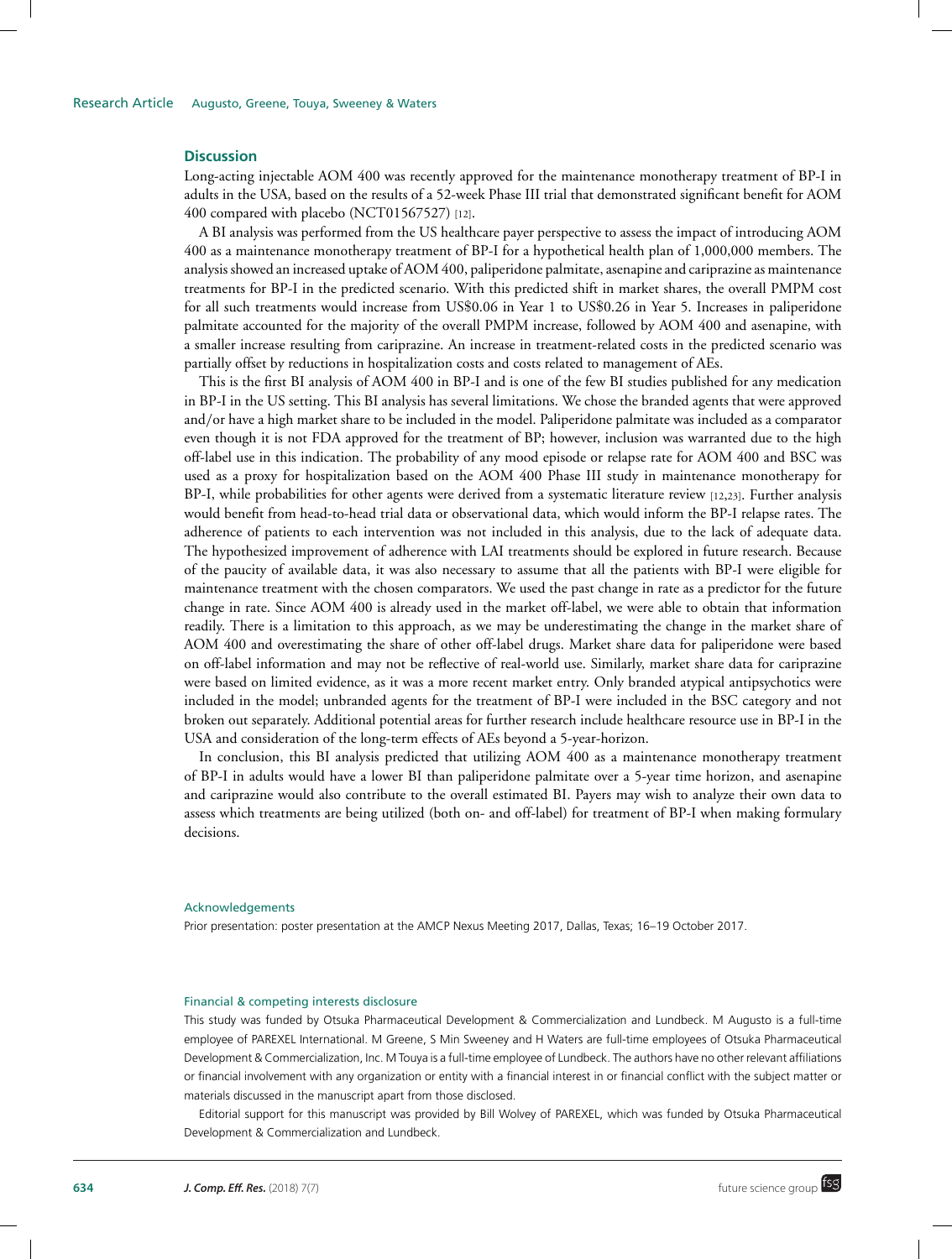#### **Discussion**

Long-acting injectable AOM 400 was recently approved for the maintenance monotherapy treatment of BP-I in adults in the USA, based on the results of a 52-week Phase III trial that demonstrated significant benefit for AOM 400 compared with placebo (NCT01567527) [12].

A BI analysis was performed from the US healthcare payer perspective to assess the impact of introducing AOM 400 as a maintenance monotherapy treatment of BP-I for a hypothetical health plan of 1,000,000 members. The analysis showed an increased uptake of AOM 400, paliperidone palmitate, asenapine and cariprazine as maintenance treatments for BP-I in the predicted scenario. With this predicted shift in market shares, the overall PMPM cost for all such treatments would increase from US\$0.06 in Year 1 to US\$0.26 in Year 5. Increases in paliperidone palmitate accounted for the majority of the overall PMPM increase, followed by AOM 400 and asenapine, with a smaller increase resulting from cariprazine. An increase in treatment-related costs in the predicted scenario was partially offset by reductions in hospitalization costs and costs related to management of AEs.

This is the first BI analysis of AOM 400 in BP-I and is one of the few BI studies published for any medication in BP-I in the US setting. This BI analysis has several limitations. We chose the branded agents that were approved and/or have a high market share to be included in the model. Paliperidone palmitate was included as a comparator even though it is not FDA approved for the treatment of BP; however, inclusion was warranted due to the high off-label use in this indication. The probability of any mood episode or relapse rate for AOM 400 and BSC was used as a proxy for hospitalization based on the AOM 400 Phase III study in maintenance monotherapy for BP-I, while probabilities for other agents were derived from a systematic literature review [12,23]. Further analysis would benefit from head-to-head trial data or observational data, which would inform the BP-I relapse rates. The adherence of patients to each intervention was not included in this analysis, due to the lack of adequate data. The hypothesized improvement of adherence with LAI treatments should be explored in future research. Because of the paucity of available data, it was also necessary to assume that all the patients with BP-I were eligible for maintenance treatment with the chosen comparators. We used the past change in rate as a predictor for the future change in rate. Since AOM 400 is already used in the market off-label, we were able to obtain that information readily. There is a limitation to this approach, as we may be underestimating the change in the market share of AOM 400 and overestimating the share of other off-label drugs. Market share data for paliperidone were based on off-label information and may not be reflective of real-world use. Similarly, market share data for cariprazine were based on limited evidence, as it was a more recent market entry. Only branded atypical antipsychotics were included in the model; unbranded agents for the treatment of BP-I were included in the BSC category and not broken out separately. Additional potential areas for further research include healthcare resource use in BP-I in the USA and consideration of the long-term effects of AEs beyond a 5-year-horizon.

In conclusion, this BI analysis predicted that utilizing AOM 400 as a maintenance monotherapy treatment of BP-I in adults would have a lower BI than paliperidone palmitate over a 5-year time horizon, and asenapine and cariprazine would also contribute to the overall estimated BI. Payers may wish to analyze their own data to assess which treatments are being utilized (both on- and off-label) for treatment of BP-I when making formulary decisions.

#### Acknowledgements

Prior presentation: poster presentation at the AMCP Nexus Meeting 2017, Dallas, Texas; 16–19 October 2017.

#### Financial & competing interests disclosure

This study was funded by Otsuka Pharmaceutical Development & Commercialization and Lundbeck. M Augusto is a full-time employee of PAREXEL International. M Greene, S Min Sweeney and H Waters are full-time employees of Otsuka Pharmaceutical Development & Commercialization, Inc. M Touya is a full-time employee of Lundbeck. The authors have no other relevant affiliations or financial involvement with any organization or entity with a financial interest in or financial conflict with the subject matter or materials discussed in the manuscript apart from those disclosed.

Editorial support for this manuscript was provided by Bill Wolvey of PAREXEL, which was funded by Otsuka Pharmaceutical Development & Commercialization and Lundbeck.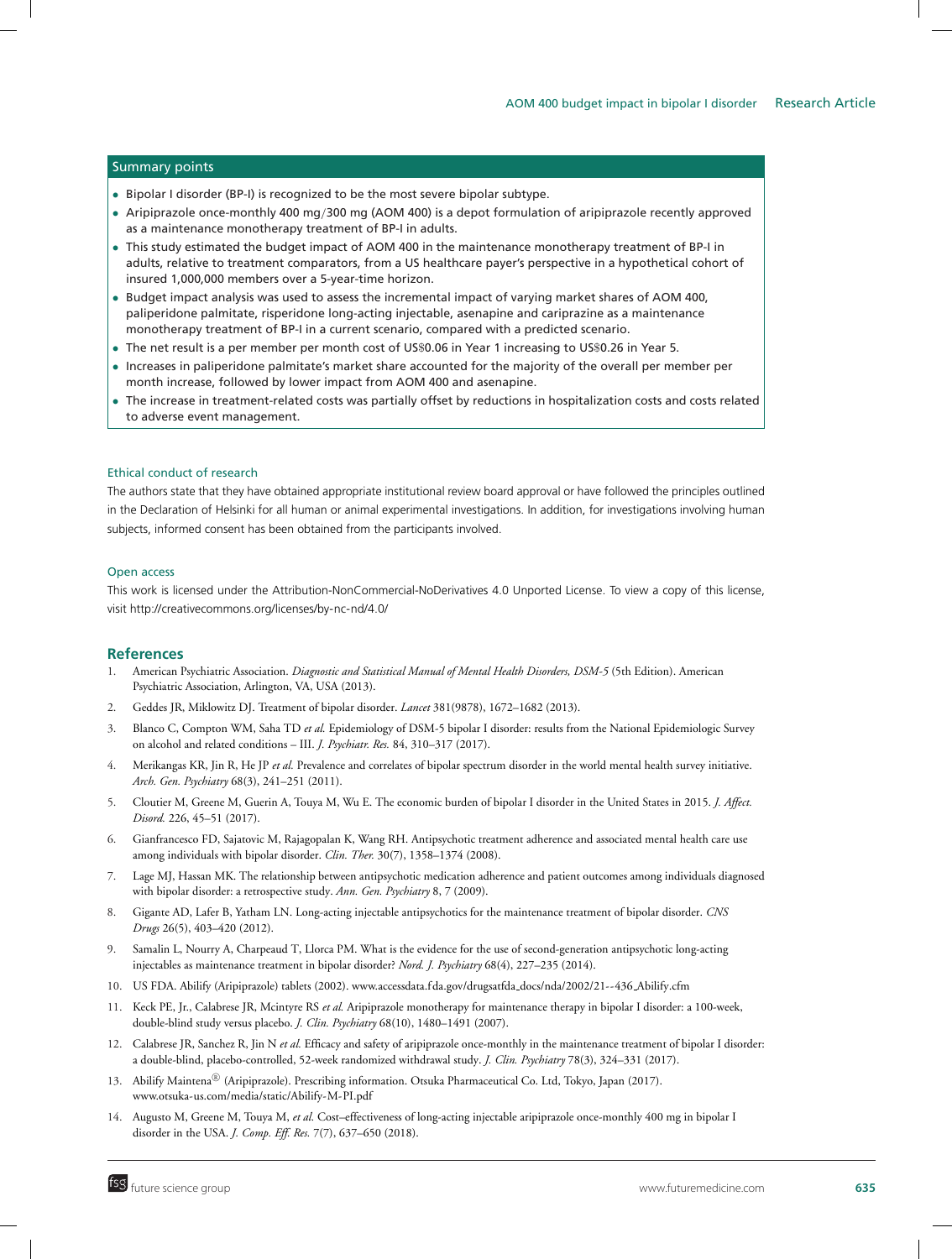#### Summary points

- Bipolar I disorder (BP-I) is recognized to be the most severe bipolar subtype.
- Aripiprazole once-monthly 400 mg/300 mg (AOM 400) is a depot formulation of aripiprazole recently approved as a maintenance monotherapy treatment of BP-I in adults.
- This study estimated the budget impact of AOM 400 in the maintenance monotherapy treatment of BP-I in adults, relative to treatment comparators, from a US healthcare payer's perspective in a hypothetical cohort of insured 1,000,000 members over a 5-year-time horizon.
- Budget impact analysis was used to assess the incremental impact of varying market shares of AOM 400, paliperidone palmitate, risperidone long-acting injectable, asenapine and cariprazine as a maintenance monotherapy treatment of BP-I in a current scenario, compared with a predicted scenario.
- The net result is a per member per month cost of US\$0.06 in Year 1 increasing to US\$0.26 in Year 5.
- Increases in paliperidone palmitate's market share accounted for the majority of the overall per member per month increase, followed by lower impact from AOM 400 and asenapine.
- The increase in treatment-related costs was partially offset by reductions in hospitalization costs and costs related to adverse event management.

#### Ethical conduct of research

The authors state that they have obtained appropriate institutional review board approval or have followed the principles outlined in the Declaration of Helsinki for all human or animal experimental investigations. In addition, for investigations involving human subjects, informed consent has been obtained from the participants involved.

#### Open access

This work is licensed under the Attribution-NonCommercial-NoDerivatives 4.0 Unported License. To view a copy of this license, visit http://creativecommons.org/licenses/by-nc-nd/4.0/

#### **References**

- 1. American Psychiatric Association. *Diagnostic and Statistical Manual of Mental Health Disorders, DSM-5* (5th Edition). American Psychiatric Association, Arlington, VA, USA (2013).
- 2. Geddes JR, Miklowitz DJ. Treatment of bipolar disorder. *Lancet* 381(9878), 1672–1682 (2013).
- 3. Blanco C, Compton WM, Saha TD *et al.* Epidemiology of DSM-5 bipolar I disorder: results from the National Epidemiologic Survey on alcohol and related conditions – III. *J. Psychiatr. Res.* 84, 310–317 (2017).
- 4. Merikangas KR, Jin R, He JP *et al.* Prevalence and correlates of bipolar spectrum disorder in the world mental health survey initiative. *Arch. Gen. Psychiatry* 68(3), 241–251 (2011).
- 5. Cloutier M, Greene M, Guerin A, Touya M, Wu E. The economic burden of bipolar I disorder in the United States in 2015. *J. Affect. Disord.* 226, 45–51 (2017).
- 6. Gianfrancesco FD, Sajatovic M, Rajagopalan K, Wang RH. Antipsychotic treatment adherence and associated mental health care use among individuals with bipolar disorder. *Clin. Ther.* 30(7), 1358–1374 (2008).
- Lage MJ, Hassan MK. The relationship between antipsychotic medication adherence and patient outcomes among individuals diagnosed with bipolar disorder: a retrospective study. *Ann. Gen. Psychiatry* 8, 7 (2009).
- 8. Gigante AD, Lafer B, Yatham LN. Long-acting injectable antipsychotics for the maintenance treatment of bipolar disorder. *CNS Drugs* 26(5), 403–420 (2012).
- 9. Samalin L, Nourry A, Charpeaud T, Llorca PM. What is the evidence for the use of second-generation antipsychotic long-acting injectables as maintenance treatment in bipolar disorder? *Nord. J. Psychiatry* 68(4), 227–235 (2014).
- 10. US FDA. Abilify (Aripiprazole) tablets (2002). www.accessdata.fda.gov/drugsatfda docs/nda/2002/21--436 Abilify.cfm
- 11. Keck PE, Jr., Calabrese JR, Mcintyre RS *et al.* Aripiprazole monotherapy for maintenance therapy in bipolar I disorder: a 100-week, double-blind study versus placebo. *J. Clin. Psychiatry* 68(10), 1480–1491 (2007).
- 12. Calabrese JR, Sanchez R, Jin N *et al.* Efficacy and safety of aripiprazole once-monthly in the maintenance treatment of bipolar I disorder: a double-blind, placebo-controlled, 52-week randomized withdrawal study. *J. Clin. Psychiatry* 78(3), 324–331 (2017).
- 13. Abilify Maintena<sup>(B)</sup> (Aripiprazole). Prescribing information. Otsuka Pharmaceutical Co. Ltd, Tokyo, Japan (2017). www.otsuka-us.com/media/static/Abilify-M-PI.pdf
- 14. Augusto M, Greene M, Touya M, *et al.* Cost–effectiveness of long-acting injectable aripiprazole once-monthly 400 mg in bipolar I disorder in the USA. *J. Comp. Eff. Res.* 7(7), 637–650 (2018).